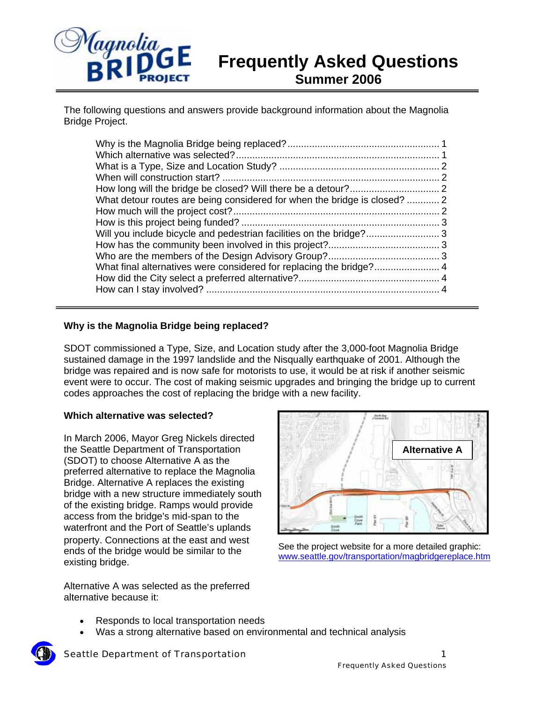

# **Frequently Asked Questions Summer 2006**

The following questions and answers provide background information about the Magnolia Bridge Project.

| What detour routes are being considered for when the bridge is closed?  2<br>Will you include bicycle and pedestrian facilities on the bridge?3 |  |
|-------------------------------------------------------------------------------------------------------------------------------------------------|--|
|                                                                                                                                                 |  |
|                                                                                                                                                 |  |

### **Why is the Magnolia Bridge being replaced?**

SDOT commissioned a Type, Size, and Location study after the 3,000-foot Magnolia Bridge sustained damage in the 1997 landslide and the Nisqually earthquake of 2001. Although the bridge was repaired and is now safe for motorists to use, it would be at risk if another seismic event were to occur. The cost of making seismic upgrades and bringing the bridge up to current codes approaches the cost of replacing the bridge with a new facility.

### **Which alternative was selected?**

In March 2006, Mayor Greg Nickels directed the Seattle Department of Transportation (SDOT) to choose Alternative A as the preferred alternative to replace the Magnolia Bridge. Alternative A replaces the existing bridge with a new structure immediately south of the existing bridge. Ramps would provide access from the bridge's mid-span to the waterfront and the Port of Seattle's uplands property. Connections at the east and west ends of the bridge would be similar to the existing bridge.

Alternative A was selected as the preferred alternative because it:



See the project website for a more detailed graphic: www.seattle.gov/transportation/magbridgereplace.htm

- Responds to local transportation needs
- Was a strong alternative based on environmental and technical analysis

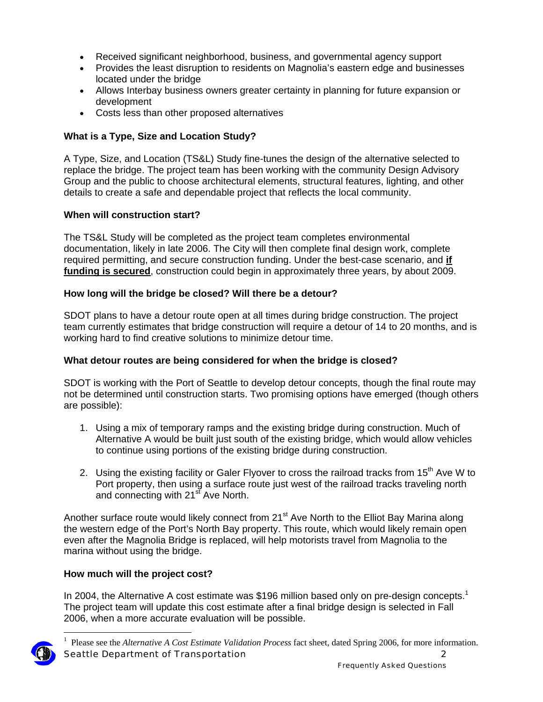- Received significant neighborhood, business, and governmental agency support
- Provides the least disruption to residents on Magnolia's eastern edge and businesses located under the bridge
- Allows Interbay business owners greater certainty in planning for future expansion or development
- Costs less than other proposed alternatives

# **What is a Type, Size and Location Study?**

A Type, Size, and Location (TS&L) Study fine-tunes the design of the alternative selected to replace the bridge. The project team has been working with the community Design Advisory Group and the public to choose architectural elements, structural features, lighting, and other details to create a safe and dependable project that reflects the local community.

## **When will construction start?**

The TS&L Study will be completed as the project team completes environmental documentation, likely in late 2006. The City will then complete final design work, complete required permitting, and secure construction funding. Under the best-case scenario, and **if funding is secured**, construction could begin in approximately three years, by about 2009.

## **How long will the bridge be closed? Will there be a detour?**

SDOT plans to have a detour route open at all times during bridge construction. The project team currently estimates that bridge construction will require a detour of 14 to 20 months, and is working hard to find creative solutions to minimize detour time.

## **What detour routes are being considered for when the bridge is closed?**

SDOT is working with the Port of Seattle to develop detour concepts, though the final route may not be determined until construction starts. Two promising options have emerged (though others are possible):

- 1. Using a mix of temporary ramps and the existing bridge during construction. Much of Alternative A would be built just south of the existing bridge, which would allow vehicles to continue using portions of the existing bridge during construction.
- 2. Using the existing facility or Galer Flyover to cross the railroad tracks from 15<sup>th</sup> Ave W to Port property, then using a surface route just west of the railroad tracks traveling north and connecting with 21<sup>st</sup> Ave North.

Another surface route would likely connect from 21<sup>st</sup> Ave North to the Elliot Bay Marina along the western edge of the Port's North Bay property. This route, which would likely remain open even after the Magnolia Bridge is replaced, will help motorists travel from Magnolia to the marina without using the bridge.

## **How much will the project cost?**

In 2004, the Alternative A cost estimate was \$196 million based only on pre-design concepts.<sup>1</sup> The project team will update this cost estimate after a final bridge design is selected in Fall 2006, when a more accurate evaluation will be possible.



 $\overline{a}$ 

Seattle Department of Transportation 2 1 Please see the *Alternative A Cost Estimate Validation Process* fact sheet, dated Spring 2006, for more information.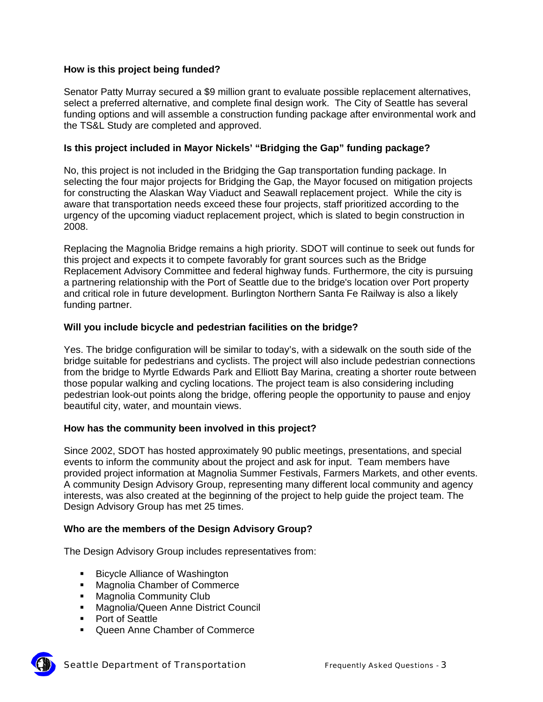## **How is this project being funded?**

Senator Patty Murray secured a \$9 million grant to evaluate possible replacement alternatives, select a preferred alternative, and complete final design work. The City of Seattle has several funding options and will assemble a construction funding package after environmental work and the TS&L Study are completed and approved.

## **Is this project included in Mayor Nickels' "Bridging the Gap" funding package?**

No, this project is not included in the Bridging the Gap transportation funding package. In selecting the four major projects for Bridging the Gap, the Mayor focused on mitigation projects for constructing the Alaskan Way Viaduct and Seawall replacement project. While the city is aware that transportation needs exceed these four projects, staff prioritized according to the urgency of the upcoming viaduct replacement project, which is slated to begin construction in 2008.

Replacing the Magnolia Bridge remains a high priority. SDOT will continue to seek out funds for this project and expects it to compete favorably for grant sources such as the Bridge Replacement Advisory Committee and federal highway funds. Furthermore, the city is pursuing a partnering relationship with the Port of Seattle due to the bridge's location over Port property and critical role in future development. Burlington Northern Santa Fe Railway is also a likely funding partner.

### **Will you include bicycle and pedestrian facilities on the bridge?**

Yes. The bridge configuration will be similar to today's, with a sidewalk on the south side of the bridge suitable for pedestrians and cyclists. The project will also include pedestrian connections from the bridge to Myrtle Edwards Park and Elliott Bay Marina, creating a shorter route between those popular walking and cycling locations. The project team is also considering including pedestrian look-out points along the bridge, offering people the opportunity to pause and enjoy beautiful city, water, and mountain views.

### **How has the community been involved in this project?**

Since 2002, SDOT has hosted approximately 90 public meetings, presentations, and special events to inform the community about the project and ask for input. Team members have provided project information at Magnolia Summer Festivals, Farmers Markets, and other events. A community Design Advisory Group, representing many different local community and agency interests, was also created at the beginning of the project to help guide the project team. The Design Advisory Group has met 25 times.

### **Who are the members of the Design Advisory Group?**

The Design Advisory Group includes representatives from:

- Bicycle Alliance of Washington
- **Magnolia Chamber of Commerce**
- **Magnolia Community Club**
- **Magnolia/Queen Anne District Council**
- **Port of Seattle**
- Queen Anne Chamber of Commerce